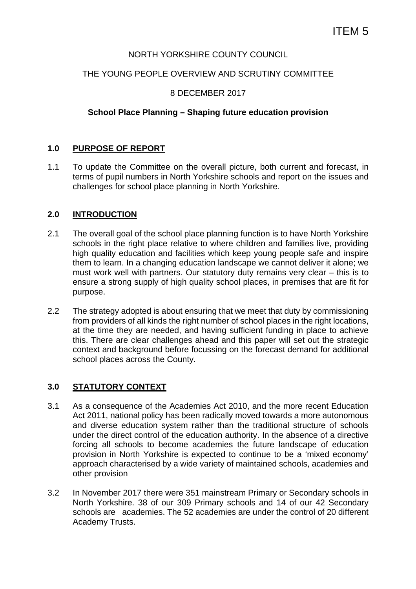## NORTH YORKSHIRE COUNTY COUNCIL

## THE YOUNG PEOPLE OVERVIEW AND SCRUTINY COMMITTEE

## 8 DECEMBER 2017

#### **School Place Planning – Shaping future education provision**

## **1.0 PURPOSE OF REPORT**

1.1 To update the Committee on the overall picture, both current and forecast, in terms of pupil numbers in North Yorkshire schools and report on the issues and challenges for school place planning in North Yorkshire.

#### **2.0 INTRODUCTION**

- 2.1 The overall goal of the school place planning function is to have North Yorkshire schools in the right place relative to where children and families live, providing high quality education and facilities which keep young people safe and inspire them to learn. In a changing education landscape we cannot deliver it alone; we must work well with partners. Our statutory duty remains very clear – this is to ensure a strong supply of high quality school places, in premises that are fit for purpose.
- 2.2 The strategy adopted is about ensuring that we meet that duty by commissioning from providers of all kinds the right number of school places in the right locations, at the time they are needed, and having sufficient funding in place to achieve this. There are clear challenges ahead and this paper will set out the strategic context and background before focussing on the forecast demand for additional school places across the County.

## **3.0 STATUTORY CONTEXT**

- 3.1 As a consequence of the Academies Act 2010, and the more recent Education Act 2011, national policy has been radically moved towards a more autonomous and diverse education system rather than the traditional structure of schools under the direct control of the education authority. In the absence of a directive forcing all schools to become academies the future landscape of education provision in North Yorkshire is expected to continue to be a 'mixed economy' approach characterised by a wide variety of maintained schools, academies and other provision
- 3.2 In November 2017 there were 351 mainstream Primary or Secondary schools in North Yorkshire. 38 of our 309 Primary schools and 14 of our 42 Secondary schools are academies. The 52 academies are under the control of 20 different Academy Trusts.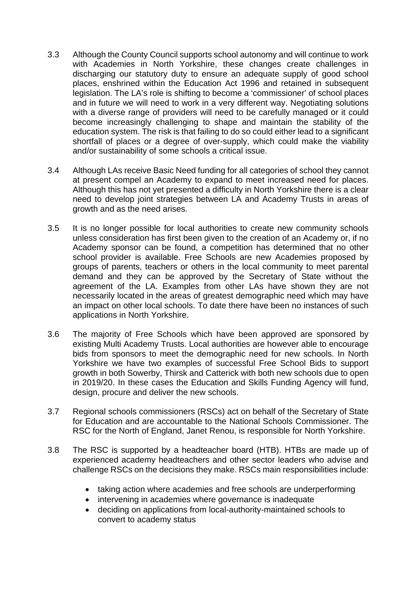- 3.3 Although the County Council supports school autonomy and will continue to work with Academies in North Yorkshire, these changes create challenges in discharging our statutory duty to ensure an adequate supply of good school places, enshrined within the Education Act 1996 and retained in subsequent legislation. The LA's role is shifting to become a 'commissioner' of school places and in future we will need to work in a very different way. Negotiating solutions with a diverse range of providers will need to be carefully managed or it could become increasingly challenging to shape and maintain the stability of the education system. The risk is that failing to do so could either lead to a significant shortfall of places or a degree of over-supply, which could make the viability and/or sustainability of some schools a critical issue.
- 3.4 Although LAs receive Basic Need funding for all categories of school they cannot at present compel an Academy to expand to meet increased need for places. Although this has not yet presented a difficulty in North Yorkshire there is a clear need to develop joint strategies between LA and Academy Trusts in areas of growth and as the need arises.
- 3.5 It is no longer possible for local authorities to create new community schools unless consideration has first been given to the creation of an Academy or, if no Academy sponsor can be found, a competition has determined that no other school provider is available. Free Schools are new Academies proposed by groups of parents, teachers or others in the local community to meet parental demand and they can be approved by the Secretary of State without the agreement of the LA. Examples from other LAs have shown they are not necessarily located in the areas of greatest demographic need which may have an impact on other local schools. To date there have been no instances of such applications in North Yorkshire.
- 3.6 The majority of Free Schools which have been approved are sponsored by existing Multi Academy Trusts. Local authorities are however able to encourage bids from sponsors to meet the demographic need for new schools. In North Yorkshire we have two examples of successful Free School Bids to support growth in both Sowerby, Thirsk and Catterick with both new schools due to open in 2019/20. In these cases the Education and Skills Funding Agency will fund, design, procure and deliver the new schools.
- 3.7 Regional schools commissioners (RSCs) act on behalf of the Secretary of State for Education and are accountable to the National Schools Commissioner. The RSC for the North of England, Janet Renou, is responsible for North Yorkshire.
- 3.8 The RSC is supported by a headteacher board (HTB). HTBs are made up of experienced academy headteachers and other sector leaders who advise and challenge RSCs on the decisions they make. RSCs main responsibilities include:
	- taking action where academies and free schools are underperforming
	- intervening in academies where governance is inadequate
	- deciding on applications from local-authority-maintained schools to convert to academy status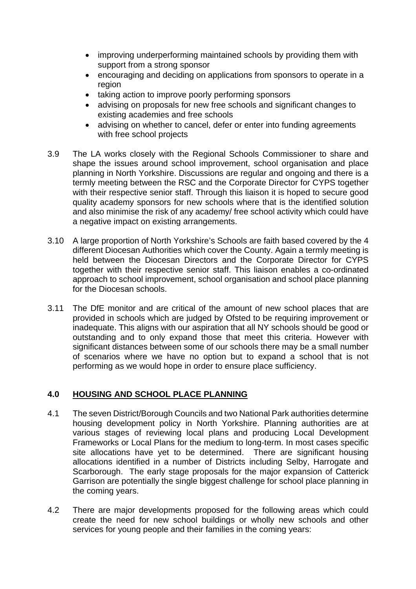- improving underperforming maintained schools by providing them with support from a strong sponsor
- encouraging and deciding on applications from sponsors to operate in a region
- taking action to improve poorly performing sponsors
- advising on proposals for new free schools and significant changes to existing academies and free schools
- advising on whether to cancel, defer or enter into funding agreements with free school projects
- 3.9 The LA works closely with the Regional Schools Commissioner to share and shape the issues around school improvement, school organisation and place planning in North Yorkshire. Discussions are regular and ongoing and there is a termly meeting between the RSC and the Corporate Director for CYPS together with their respective senior staff. Through this liaison it is hoped to secure good quality academy sponsors for new schools where that is the identified solution and also minimise the risk of any academy/ free school activity which could have a negative impact on existing arrangements.
- 3.10 A large proportion of North Yorkshire's Schools are faith based covered by the 4 different Diocesan Authorities which cover the County. Again a termly meeting is held between the Diocesan Directors and the Corporate Director for CYPS together with their respective senior staff. This liaison enables a co-ordinated approach to school improvement, school organisation and school place planning for the Diocesan schools.
- 3.11 The DfE monitor and are critical of the amount of new school places that are provided in schools which are judged by Ofsted to be requiring improvement or inadequate. This aligns with our aspiration that all NY schools should be good or outstanding and to only expand those that meet this criteria. However with significant distances between some of our schools there may be a small number of scenarios where we have no option but to expand a school that is not performing as we would hope in order to ensure place sufficiency.

# **4.0 HOUSING AND SCHOOL PLACE PLANNING**

- 4.1 The seven District/Borough Councils and two National Park authorities determine housing development policy in North Yorkshire. Planning authorities are at various stages of reviewing local plans and producing Local Development Frameworks or Local Plans for the medium to long-term. In most cases specific site allocations have yet to be determined. There are significant housing allocations identified in a number of Districts including Selby, Harrogate and Scarborough. The early stage proposals for the major expansion of Catterick Garrison are potentially the single biggest challenge for school place planning in the coming years.
- 4.2 There are major developments proposed for the following areas which could create the need for new school buildings or wholly new schools and other services for young people and their families in the coming years: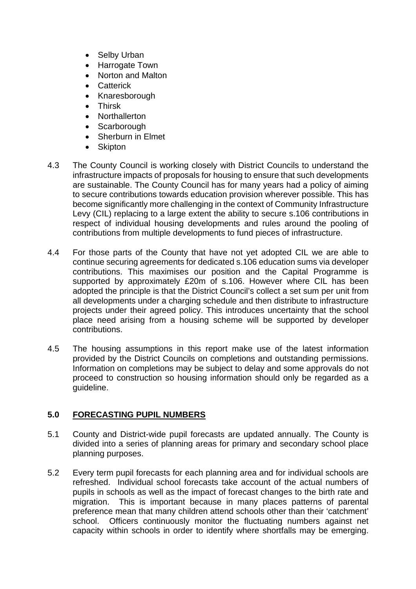- Selby Urban
- Harrogate Town
- Norton and Malton
- Catterick
- Knaresborough
- **•** Thirsk
- Northallerton
- Scarborough
- Sherburn in Elmet
- Skipton
- 4.3 The County Council is working closely with District Councils to understand the infrastructure impacts of proposals for housing to ensure that such developments are sustainable. The County Council has for many years had a policy of aiming to secure contributions towards education provision wherever possible. This has become significantly more challenging in the context of Community Infrastructure Levy (CIL) replacing to a large extent the ability to secure s.106 contributions in respect of individual housing developments and rules around the pooling of contributions from multiple developments to fund pieces of infrastructure.
- 4.4 For those parts of the County that have not yet adopted CIL we are able to continue securing agreements for dedicated s.106 education sums via developer contributions. This maximises our position and the Capital Programme is supported by approximately £20m of s.106. However where CIL has been adopted the principle is that the District Council's collect a set sum per unit from all developments under a charging schedule and then distribute to infrastructure projects under their agreed policy. This introduces uncertainty that the school place need arising from a housing scheme will be supported by developer contributions.
- 4.5 The housing assumptions in this report make use of the latest information provided by the District Councils on completions and outstanding permissions. Information on completions may be subject to delay and some approvals do not proceed to construction so housing information should only be regarded as a guideline.

## **5.0 FORECASTING PUPIL NUMBERS**

- 5.1 County and District-wide pupil forecasts are updated annually. The County is divided into a series of planning areas for primary and secondary school place planning purposes.
- 5.2 Every term pupil forecasts for each planning area and for individual schools are refreshed. Individual school forecasts take account of the actual numbers of pupils in schools as well as the impact of forecast changes to the birth rate and migration. This is important because in many places patterns of parental preference mean that many children attend schools other than their 'catchment' school. Officers continuously monitor the fluctuating numbers against net capacity within schools in order to identify where shortfalls may be emerging.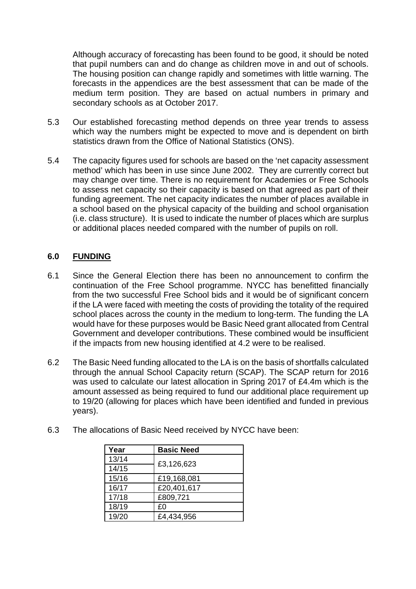Although accuracy of forecasting has been found to be good, it should be noted that pupil numbers can and do change as children move in and out of schools. The housing position can change rapidly and sometimes with little warning. The forecasts in the appendices are the best assessment that can be made of the medium term position. They are based on actual numbers in primary and secondary schools as at October 2017.

- 5.3 Our established forecasting method depends on three year trends to assess which way the numbers might be expected to move and is dependent on birth statistics drawn from the Office of National Statistics (ONS).
- 5.4 The capacity figures used for schools are based on the 'net capacity assessment method' which has been in use since June 2002. They are currently correct but may change over time. There is no requirement for Academies or Free Schools to assess net capacity so their capacity is based on that agreed as part of their funding agreement. The net capacity indicates the number of places available in a school based on the physical capacity of the building and school organisation (i.e. class structure). It is used to indicate the number of places which are surplus or additional places needed compared with the number of pupils on roll.

# **6.0 FUNDING**

- 6.1 Since the General Election there has been no announcement to confirm the continuation of the Free School programme. NYCC has benefitted financially from the two successful Free School bids and it would be of significant concern if the LA were faced with meeting the costs of providing the totality of the required school places across the county in the medium to long-term. The funding the LA would have for these purposes would be Basic Need grant allocated from Central Government and developer contributions. These combined would be insufficient if the impacts from new housing identified at 4.2 were to be realised.
- 6.2 The Basic Need funding allocated to the LA is on the basis of shortfalls calculated through the annual School Capacity return (SCAP). The SCAP return for 2016 was used to calculate our latest allocation in Spring 2017 of £4.4m which is the amount assessed as being required to fund our additional place requirement up to 19/20 (allowing for places which have been identified and funded in previous years).

| Year  | <b>Basic Need</b> |  |
|-------|-------------------|--|
| 13/14 |                   |  |
| 14/15 | £3,126,623        |  |
| 15/16 | £19,168,081       |  |
| 16/17 | £20,401,617       |  |
| 17/18 | £809,721          |  |
| 18/19 | £0                |  |
| 19/20 | £4,434,956        |  |

6.3 The allocations of Basic Need received by NYCC have been: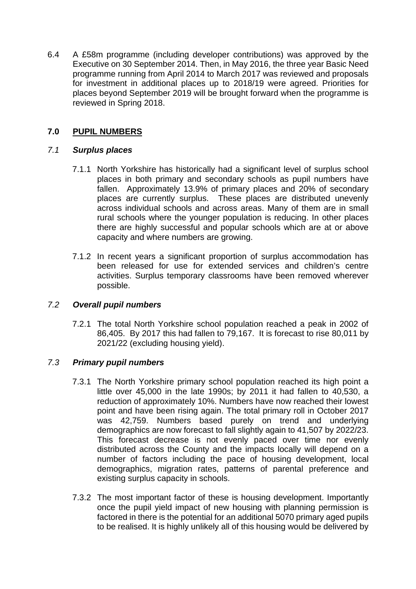6.4 A £58m programme (including developer contributions) was approved by the Executive on 30 September 2014. Then, in May 2016, the three year Basic Need programme running from April 2014 to March 2017 was reviewed and proposals for investment in additional places up to 2018/19 were agreed. Priorities for places beyond September 2019 will be brought forward when the programme is reviewed in Spring 2018.

## **7.0 PUPIL NUMBERS**

#### *7.1 Surplus places*

- 7.1.1 North Yorkshire has historically had a significant level of surplus school places in both primary and secondary schools as pupil numbers have fallen. Approximately 13.9% of primary places and 20% of secondary places are currently surplus. These places are distributed unevenly across individual schools and across areas. Many of them are in small rural schools where the younger population is reducing. In other places there are highly successful and popular schools which are at or above capacity and where numbers are growing.
- 7.1.2 In recent years a significant proportion of surplus accommodation has been released for use for extended services and children's centre activities. Surplus temporary classrooms have been removed wherever possible.

## *7.2 Overall pupil numbers*

7.2.1 The total North Yorkshire school population reached a peak in 2002 of 86,405. By 2017 this had fallen to 79,167. It is forecast to rise 80,011 by 2021/22 (excluding housing yield).

## *7.3 Primary pupil numbers*

- 7.3.1 The North Yorkshire primary school population reached its high point a little over 45,000 in the late 1990s; by 2011 it had fallen to 40,530, a reduction of approximately 10%. Numbers have now reached their lowest point and have been rising again. The total primary roll in October 2017 was 42,759. Numbers based purely on trend and underlying demographics are now forecast to fall slightly again to 41,507 by 2022/23. This forecast decrease is not evenly paced over time nor evenly distributed across the County and the impacts locally will depend on a number of factors including the pace of housing development, local demographics, migration rates, patterns of parental preference and existing surplus capacity in schools.
- 7.3.2 The most important factor of these is housing development. Importantly once the pupil yield impact of new housing with planning permission is factored in there is the potential for an additional 5070 primary aged pupils to be realised. It is highly unlikely all of this housing would be delivered by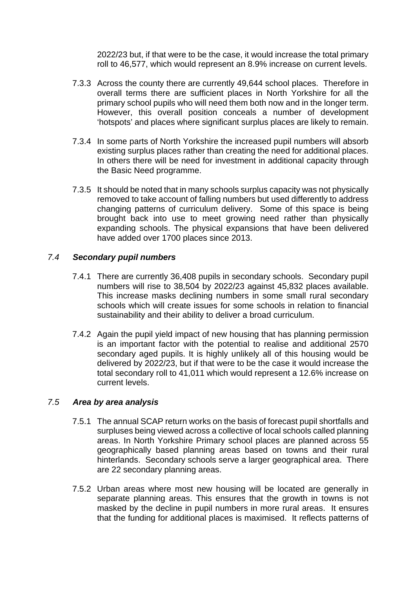2022/23 but, if that were to be the case, it would increase the total primary roll to 46,577, which would represent an 8.9% increase on current levels.

- 7.3.3 Across the county there are currently 49,644 school places. Therefore in overall terms there are sufficient places in North Yorkshire for all the primary school pupils who will need them both now and in the longer term. However, this overall position conceals a number of development 'hotspots' and places where significant surplus places are likely to remain.
- 7.3.4 In some parts of North Yorkshire the increased pupil numbers will absorb existing surplus places rather than creating the need for additional places. In others there will be need for investment in additional capacity through the Basic Need programme.
- 7.3.5 It should be noted that in many schools surplus capacity was not physically removed to take account of falling numbers but used differently to address changing patterns of curriculum delivery. Some of this space is being brought back into use to meet growing need rather than physically expanding schools. The physical expansions that have been delivered have added over 1700 places since 2013.

#### *7.4 Secondary pupil numbers*

- 7.4.1 There are currently 36,408 pupils in secondary schools. Secondary pupil numbers will rise to 38,504 by 2022/23 against 45,832 places available. This increase masks declining numbers in some small rural secondary schools which will create issues for some schools in relation to financial sustainability and their ability to deliver a broad curriculum.
- 7.4.2 Again the pupil yield impact of new housing that has planning permission is an important factor with the potential to realise and additional 2570 secondary aged pupils. It is highly unlikely all of this housing would be delivered by 2022/23, but if that were to be the case it would increase the total secondary roll to 41,011 which would represent a 12.6% increase on current levels.

#### *7.5 Area by area analysis*

- 7.5.1 The annual SCAP return works on the basis of forecast pupil shortfalls and surpluses being viewed across a collective of local schools called planning areas. In North Yorkshire Primary school places are planned across 55 geographically based planning areas based on towns and their rural hinterlands. Secondary schools serve a larger geographical area. There are 22 secondary planning areas.
- 7.5.2 Urban areas where most new housing will be located are generally in separate planning areas. This ensures that the growth in towns is not masked by the decline in pupil numbers in more rural areas. It ensures that the funding for additional places is maximised. It reflects patterns of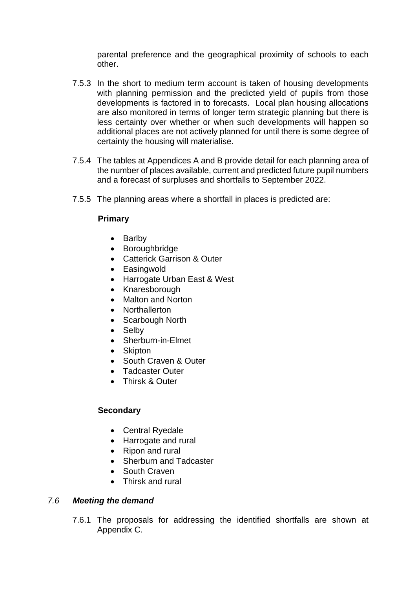parental preference and the geographical proximity of schools to each other.

- 7.5.3 In the short to medium term account is taken of housing developments with planning permission and the predicted yield of pupils from those developments is factored in to forecasts. Local plan housing allocations are also monitored in terms of longer term strategic planning but there is less certainty over whether or when such developments will happen so additional places are not actively planned for until there is some degree of certainty the housing will materialise.
- 7.5.4 The tables at Appendices A and B provide detail for each planning area of the number of places available, current and predicted future pupil numbers and a forecast of surpluses and shortfalls to September 2022.
- 7.5.5 The planning areas where a shortfall in places is predicted are:

## **Primary**

- Barlby
- Boroughbridge
- Catterick Garrison & Outer
- Easingwold
- Harrogate Urban East & West
- Knaresborough
- Malton and Norton
- Northallerton
- Scarbough North
- Selbv
- Sherburn-in-Elmet
- Skipton
- South Craven & Outer
- Tadcaster Outer
- Thirsk & Outer

#### **Secondary**

- Central Ryedale
- Harrogate and rural
- Ripon and rural
- Sherburn and Tadcaster
- South Craven
- Thirsk and rural

#### *7.6 Meeting the demand*

7.6.1 The proposals for addressing the identified shortfalls are shown at Appendix C.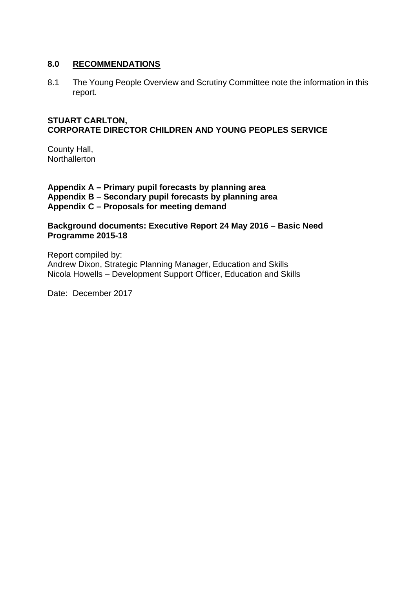#### **8.0 RECOMMENDATIONS**

8.1 The Young People Overview and Scrutiny Committee note the information in this report.

#### **STUART CARLTON, CORPORATE DIRECTOR CHILDREN AND YOUNG PEOPLES SERVICE**

County Hall, **Northallerton** 

**Appendix A – Primary pupil forecasts by planning area Appendix B – Secondary pupil forecasts by planning area Appendix C – Proposals for meeting demand** 

**Background documents: Executive Report 24 May 2016 – Basic Need Programme 2015-18** 

Report compiled by: Andrew Dixon, Strategic Planning Manager, Education and Skills Nicola Howells – Development Support Officer, Education and Skills

Date: December 2017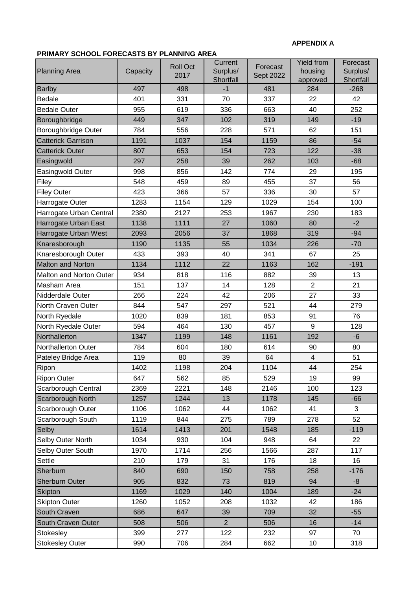#### **APPENDIX A**

#### **PRIMARY SCHOOL FORECASTS BY PLANNING AREA**

| <b>Planning Area</b>      | Capacity | <b>Roll Oct</b><br>2017 | Current<br>Surplus/<br>Shortfall | Forecast<br>Sept 2022 | <b>Yield from</b><br>housing<br>approved | Forecast<br>Surplus/<br>Shortfall |
|---------------------------|----------|-------------------------|----------------------------------|-----------------------|------------------------------------------|-----------------------------------|
| <b>Barlby</b>             | 497      | 498                     | $-1$                             | 481                   | 284                                      | $-268$                            |
| <b>Bedale</b>             | 401      | 331                     | 70                               | 337                   | 22                                       | 42                                |
| <b>Bedale Outer</b>       | 955      | 619                     | 336                              | 663                   | 40                                       | 252                               |
| Boroughbridge             | 449      | 347                     | 102                              | 319                   | 149                                      | $-19$                             |
| Boroughbridge Outer       | 784      | 556                     | 228                              | 571                   | 62                                       | 151                               |
| <b>Catterick Garrison</b> | 1191     | 1037                    | 154                              | 1159                  | 86                                       | $-54$                             |
| <b>Catterick Outer</b>    | 807      | 653                     | 154                              | 723                   | 122                                      | $-38$                             |
| Easingwold                | 297      | 258                     | 39                               | 262                   | 103                                      | $-68$                             |
| Easingwold Outer          | 998      | 856                     | 142                              | 774                   | 29                                       | 195                               |
| Filey                     | 548      | 459                     | 89                               | 455                   | 37                                       | 56                                |
| <b>Filey Outer</b>        | 423      | 366                     | 57                               | 336                   | 30                                       | 57                                |
| Harrogate Outer           | 1283     | 1154                    | 129                              | 1029                  | 154                                      | 100                               |
| Harrogate Urban Central   | 2380     | 2127                    | 253                              | 1967                  | 230                                      | 183                               |
| Harrogate Urban East      | 1138     | 1111                    | 27                               | 1060                  | 80                                       | $-2$                              |
| Harrogate Urban West      | 2093     | 2056                    | 37                               | 1868                  | 319                                      | $-94$                             |
| Knaresborough             | 1190     | 1135                    | 55                               | 1034                  | 226                                      | $-70$                             |
| Knaresborough Outer       | 433      | 393                     | 40                               | 341                   | 67                                       | 25                                |
| <b>Malton and Norton</b>  | 1134     | 1112                    | 22                               | 1163                  | 162                                      | $-191$                            |
| Malton and Norton Outer   | 934      | 818                     | 116                              | 882                   | 39                                       | 13                                |
| Masham Area               | 151      | 137                     | 14                               | 128                   | $\overline{2}$                           | 21                                |
| Nidderdale Outer          | 266      | 224                     | 42                               | 206                   | 27                                       | 33                                |
| North Craven Outer        | 844      | 547                     | 297                              | 521                   | 44                                       | 279                               |
| North Ryedale             | 1020     | 839                     | 181                              | 853                   | 91                                       | 76                                |
| North Ryedale Outer       | 594      | 464                     | 130                              | 457                   | 9                                        | 128                               |
| Northallerton             | 1347     | 1199                    | 148                              | 1161                  | 192                                      | $-6$                              |
| Northallerton Outer       | 784      | 604                     | 180                              | 614                   | 90                                       | 80                                |
| Pateley Bridge Area       | 119      | 80                      | 39                               | 64                    | $\overline{\mathcal{L}}$                 | 51                                |
| Ripon                     | 1402     | 1198                    | 204                              | 1104                  | 44                                       | 254                               |
| <b>Ripon Outer</b>        | 647      | 562                     | 85                               | 529                   | 19                                       | 99                                |
| Scarborough Central       | 2369     | 2221                    | 148                              | 2146                  | 100                                      | 123                               |
| Scarborough North         | 1257     | 1244                    | 13                               | 1178                  | 145                                      | $-66$                             |
| Scarborough Outer         | 1106     | 1062                    | 44                               | 1062                  | 41                                       | 3                                 |
| Scarborough South         | 1119     | 844                     | 275                              | 789                   | 278                                      | 52                                |
| Selby                     | 1614     | 1413                    | 201                              | 1548                  | 185                                      | $-119$                            |
| Selby Outer North         | 1034     | 930                     | 104                              | 948                   | 64                                       | 22                                |
| Selby Outer South         | 1970     | 1714                    | 256                              | 1566                  | 287                                      | 117                               |
| Settle                    | 210      | 179                     | 31                               | 176                   | 18                                       | 16                                |
| Sherburn                  | 840      | 690                     | 150                              | 758                   | 258                                      | $-176$                            |
| <b>Sherburn Outer</b>     | 905      | 832                     | 73                               | 819                   | 94                                       | -8                                |
| <b>Skipton</b>            | 1169     | 1029                    | 140                              | 1004                  | 189                                      | $-24$                             |
| <b>Skipton Outer</b>      | 1260     | 1052                    | 208                              | 1032                  | 42                                       | 186                               |
| South Craven              | 686      | 647                     | 39                               | 709                   | 32                                       | $-55$                             |
| South Craven Outer        | 508      | 506                     | $\overline{2}$                   | 506                   | 16                                       | $-14$                             |
| Stokesley                 | 399      | 277                     | 122                              | 232                   | 97                                       | 70                                |
| <b>Stokesley Outer</b>    | 990      | 706                     | 284                              | 662                   | 10                                       | 318                               |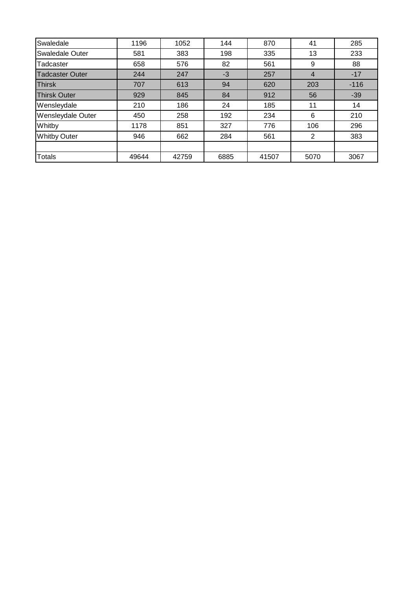| 1196  | 1052  | 144  | 870   | 41             | 285    |
|-------|-------|------|-------|----------------|--------|
| 581   | 383   | 198  | 335   | 13             | 233    |
| 658   | 576   | 82   | 561   | 9              | 88     |
| 244   | 247   | $-3$ | 257   | $\overline{4}$ | $-17$  |
| 707   | 613   | 94   | 620   | 203            | $-116$ |
| 929   | 845   | 84   | 912   | 56             | $-39$  |
| 210   | 186   | 24   | 185   | 11             | 14     |
| 450   | 258   | 192  | 234   | 6              | 210    |
| 1178  | 851   | 327  | 776   | 106            | 296    |
| 946   | 662   | 284  | 561   | 2              | 383    |
|       |       |      |       |                |        |
| 49644 | 42759 | 6885 | 41507 | 5070           | 3067   |
|       |       |      |       |                |        |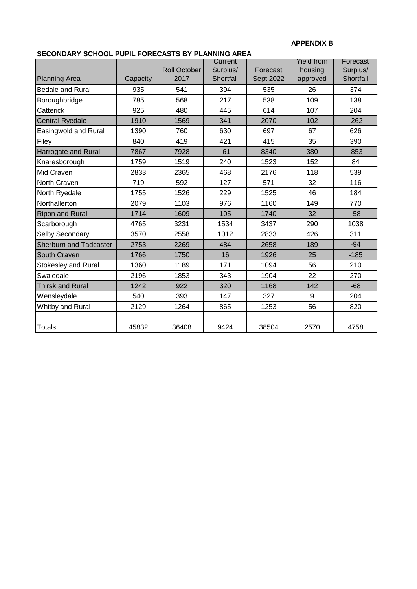#### **APPENDIX B**

## **SECONDARY SCHOOL PUPIL FORECASTS BY PLANNING AREA**

| LOONDANT JOHOOL FOHL FONLOAJIJD FEANI |          | <b>Roll October</b> | Current<br>Surplus/ | Forecast         | Yield from<br>housing | Forecast<br>Surplus/ |
|---------------------------------------|----------|---------------------|---------------------|------------------|-----------------------|----------------------|
| <b>Planning Area</b>                  | Capacity | 2017                | Shortfall           | <b>Sept 2022</b> | approved              | Shortfall            |
| <b>Bedale and Rural</b>               | 935      | 541                 | 394                 | 535              | 26                    | 374                  |
| Boroughbridge                         | 785      | 568                 | 217                 | 538              | 109                   | 138                  |
| Catterick                             | 925      | 480                 | 445                 | 614              | 107                   | 204                  |
| <b>Central Ryedale</b>                | 1910     | 1569                | 341                 | 2070             | 102                   | $-262$               |
| Easingwold and Rural                  | 1390     | 760                 | 630                 | 697              | 67                    | 626                  |
| Filey                                 | 840      | 419                 | 421                 | 415              | 35                    | 390                  |
| Harrogate and Rural                   | 7867     | 7928                | $-61$               | 8340             | 380                   | $-853$               |
| Knaresborough                         | 1759     | 1519                | 240                 | 1523             | 152                   | 84                   |
| Mid Craven                            | 2833     | 2365                | 468                 | 2176             | 118                   | 539                  |
| North Craven                          | 719      | 592                 | 127                 | 571              | 32                    | 116                  |
| North Ryedale                         | 1755     | 1526                | 229                 | 1525             | 46                    | 184                  |
| Northallerton                         | 2079     | 1103                | 976                 | 1160             | 149                   | 770                  |
| <b>Ripon and Rural</b>                | 1714     | 1609                | 105                 | 1740             | 32                    | $-58$                |
| Scarborough                           | 4765     | 3231                | 1534                | 3437             | 290                   | 1038                 |
| Selby Secondary                       | 3570     | 2558                | 1012                | 2833             | 426                   | 311                  |
| <b>Sherburn and Tadcaster</b>         | 2753     | 2269                | 484                 | 2658             | 189                   | $-94$                |
| South Craven                          | 1766     | 1750                | 16                  | 1926             | 25                    | $-185$               |
| <b>Stokesley and Rural</b>            | 1360     | 1189                | 171                 | 1094             | 56                    | 210                  |
| Swaledale                             | 2196     | 1853                | 343                 | 1904             | 22                    | 270                  |
| <b>Thirsk and Rural</b>               | 1242     | 922                 | 320                 | 1168             | 142                   | $-68$                |
| Wensleydale                           | 540      | 393                 | 147                 | 327              | 9                     | 204                  |
| Whitby and Rural                      | 2129     | 1264                | 865                 | 1253             | 56                    | 820                  |
|                                       |          |                     |                     |                  |                       |                      |
| <b>Totals</b>                         | 45832    | 36408               | 9424                | 38504            | 2570                  | 4758                 |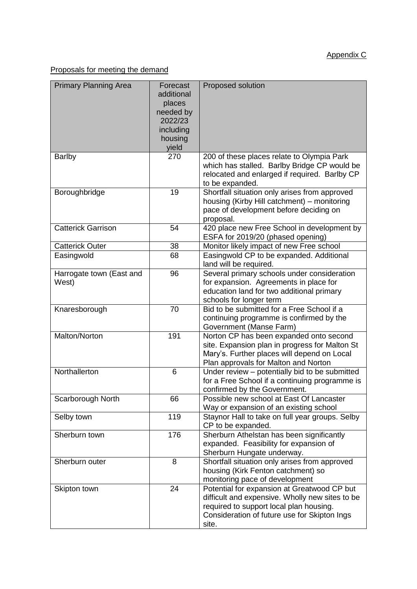Proposals for meeting the demand

| <b>Primary Planning Area</b>      | Forecast<br>additional<br>places<br>needed by<br>2022/23<br>including<br>housing<br>yield | Proposed solution                                                                                                                                                                                  |
|-----------------------------------|-------------------------------------------------------------------------------------------|----------------------------------------------------------------------------------------------------------------------------------------------------------------------------------------------------|
| <b>Barlby</b>                     | 270                                                                                       | 200 of these places relate to Olympia Park<br>which has stalled. Barlby Bridge CP would be<br>relocated and enlarged if required. Barlby CP<br>to be expanded.                                     |
| Boroughbridge                     | 19                                                                                        | Shortfall situation only arises from approved<br>housing (Kirby Hill catchment) - monitoring<br>pace of development before deciding on<br>proposal.                                                |
| <b>Catterick Garrison</b>         | 54                                                                                        | 420 place new Free School in development by<br>ESFA for 2019/20 (phased opening)                                                                                                                   |
| <b>Catterick Outer</b>            | 38                                                                                        | Monitor likely impact of new Free school                                                                                                                                                           |
| Easingwold                        | 68                                                                                        | Easingwold CP to be expanded. Additional<br>land will be required.                                                                                                                                 |
| Harrogate town (East and<br>West) | 96                                                                                        | Several primary schools under consideration<br>for expansion. Agreements in place for<br>education land for two additional primary<br>schools for longer term                                      |
| Knaresborough                     | 70                                                                                        | Bid to be submitted for a Free School if a<br>continuing programme is confirmed by the<br>Government (Manse Farm)                                                                                  |
| Malton/Norton                     | 191                                                                                       | Norton CP has been expanded onto second<br>site. Expansion plan in progress for Malton St<br>Mary's. Further places will depend on Local<br>Plan approvals for Malton and Norton                   |
| Northallerton                     | 6                                                                                         | Under review - potentially bid to be submitted<br>for a Free School if a continuing programme is<br>confirmed by the Government.                                                                   |
| Scarborough North                 | 66                                                                                        | Possible new school at East Of Lancaster<br>Way or expansion of an existing school                                                                                                                 |
| Selby town                        | 119                                                                                       | Staynor Hall to take on full year groups. Selby<br>CP to be expanded.                                                                                                                              |
| Sherburn town                     | 176                                                                                       | Sherburn Athelstan has been significantly<br>expanded. Feasibility for expansion of<br>Sherburn Hungate underway.                                                                                  |
| Sherburn outer                    | 8                                                                                         | Shortfall situation only arises from approved<br>housing (Kirk Fenton catchment) so<br>monitoring pace of development                                                                              |
| Skipton town                      | 24                                                                                        | Potential for expansion at Greatwood CP but<br>difficult and expensive. Wholly new sites to be<br>required to support local plan housing.<br>Consideration of future use for Skipton Ings<br>site. |